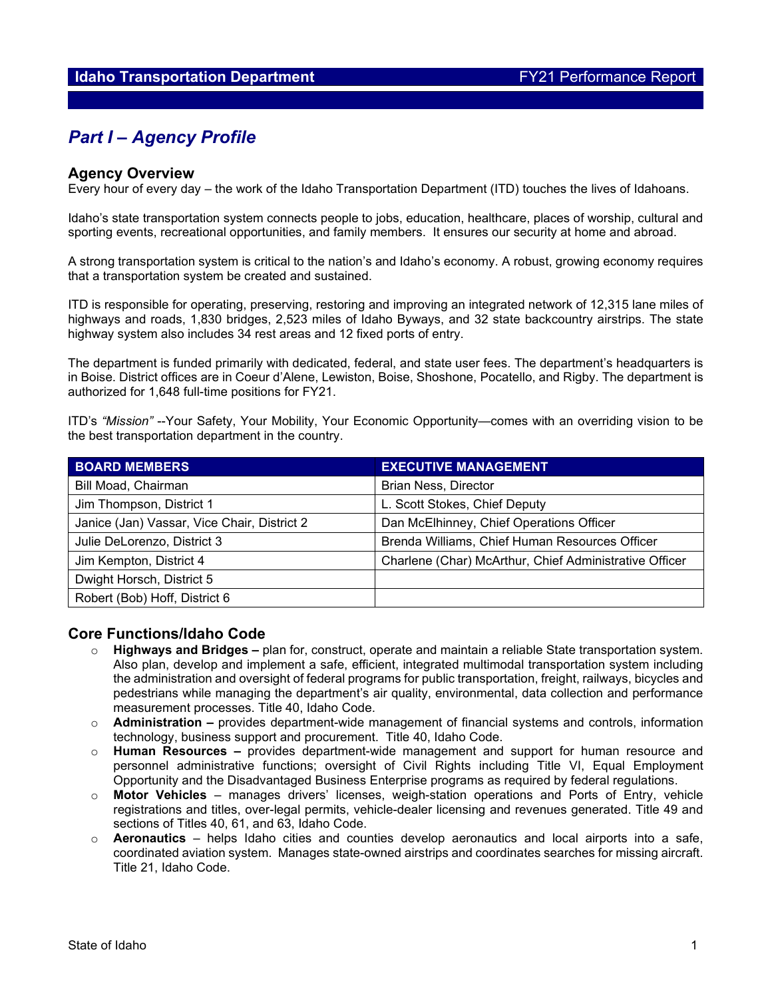# *Part I – Agency Profile*

#### **Agency Overview**

Every hour of every day – the work of the Idaho Transportation Department (ITD) touches the lives of Idahoans.

Idaho's state transportation system connects people to jobs, education, healthcare, places of worship, cultural and sporting events, recreational opportunities, and family members. It ensures our security at home and abroad.

A strong transportation system is critical to the nation's and Idaho's economy. A robust, growing economy requires that a transportation system be created and sustained.

ITD is responsible for operating, preserving, restoring and improving an integrated network of 12,315 lane miles of highways and roads, 1,830 bridges, 2,523 miles of Idaho Byways, and 32 state backcountry airstrips. The state highway system also includes 34 rest areas and 12 fixed ports of entry.

The department is funded primarily with dedicated, federal, and state user fees. The department's headquarters is in Boise. District offices are in Coeur d'Alene, Lewiston, Boise, Shoshone, Pocatello, and Rigby. The department is authorized for 1,648 full-time positions for FY21.

ITD's *"Mission"* --Your Safety, Your Mobility, Your Economic Opportunity—comes with an overriding vision to be the best transportation department in the country.

| <b>BOARD MEMBERS</b>                        | <b>EXECUTIVE MANAGEMENT</b>                            |
|---------------------------------------------|--------------------------------------------------------|
| Bill Moad, Chairman                         | <b>Brian Ness, Director</b>                            |
| Jim Thompson, District 1                    | L. Scott Stokes, Chief Deputy                          |
| Janice (Jan) Vassar, Vice Chair, District 2 | Dan McElhinney, Chief Operations Officer               |
| Julie DeLorenzo, District 3                 | Brenda Williams, Chief Human Resources Officer         |
| Jim Kempton, District 4                     | Charlene (Char) McArthur, Chief Administrative Officer |
| Dwight Horsch, District 5                   |                                                        |
| Robert (Bob) Hoff, District 6               |                                                        |

#### **Core Functions/Idaho Code**

- o **Highways and Bridges –** plan for, construct, operate and maintain a reliable State transportation system. Also plan, develop and implement a safe, efficient, integrated multimodal transportation system including the administration and oversight of federal programs for public transportation, freight, railways, bicycles and pedestrians while managing the department's air quality, environmental, data collection and performance measurement processes. Title 40, Idaho Code.
- o **Administration –** provides department-wide management of financial systems and controls, information technology, business support and procurement. Title 40, Idaho Code.
- o **Human Resources –** provides department-wide management and support for human resource and personnel administrative functions; oversight of Civil Rights including Title VI, Equal Employment Opportunity and the Disadvantaged Business Enterprise programs as required by federal regulations.
- Motor Vehicles manages drivers' licenses, weigh-station operations and Ports of Entry, vehicle registrations and titles, over-legal permits, vehicle-dealer licensing and revenues generated. Title 49 and sections of Titles 40, 61, and 63, Idaho Code.
- o **Aeronautics**  helps Idaho cities and counties develop aeronautics and local airports into a safe, coordinated aviation system. Manages state-owned airstrips and coordinates searches for missing aircraft. Title 21, Idaho Code.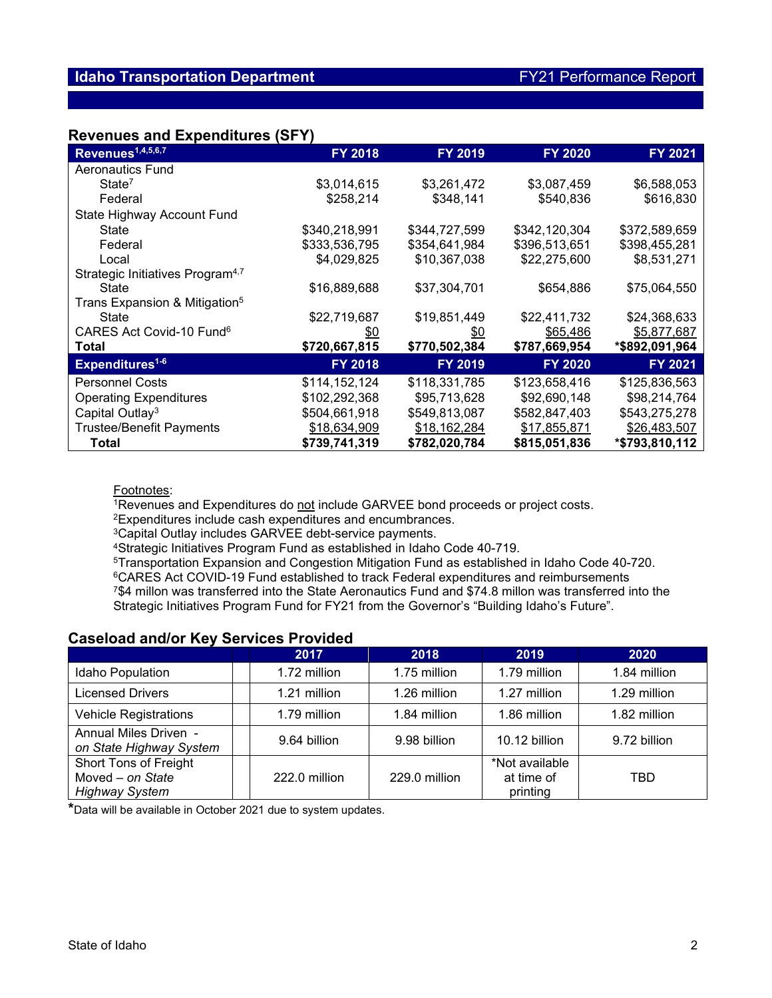#### **Revenues and Expenditures (SFY)**

| Revenues <sup>1,4,5,6,7</sup>                | <b>FY 2018</b> | FY 2019        | <b>FY 2020</b> | FY 2021        |
|----------------------------------------------|----------------|----------------|----------------|----------------|
| Aeronautics Fund                             |                |                |                |                |
| State <sup>7</sup>                           | \$3,014,615    | \$3,261,472    | \$3,087,459    | \$6,588,053    |
| Federal                                      | \$258,214      | \$348,141      | \$540,836      | \$616,830      |
| State Highway Account Fund                   |                |                |                |                |
| State                                        | \$340,218,991  | \$344,727,599  | \$342,120,304  | \$372,589,659  |
| Federal                                      | \$333,536,795  | \$354,641,984  | \$396,513,651  | \$398,455,281  |
| Local                                        | \$4,029,825    | \$10,367,038   | \$22,275,600   | \$8,531,271    |
| Strategic Initiatives Program <sup>4,7</sup> |                |                |                |                |
| State                                        | \$16,889,688   | \$37,304,701   | \$654,886      | \$75,064,550   |
| Trans Expansion & Mitigation <sup>5</sup>    |                |                |                |                |
| State                                        | \$22,719,687   | \$19,851,449   | \$22,411,732   | \$24,368,633   |
| CARES Act Covid-10 Fund <sup>6</sup>         | <u>\$0</u>     | <u>\$0</u>     | \$65,486       | \$5,877,687    |
| <b>Total</b>                                 | \$720,667,815  | \$770,502,384  | \$787,669,954  | *\$892,091,964 |
| <b>Expenditures<sup>1-6</sup></b>            | <b>FY 2018</b> | <b>FY 2019</b> | <b>FY 2020</b> | FY 2021        |
| <b>Personnel Costs</b>                       | \$114,152,124  | \$118,331,785  | \$123,658,416  | \$125,836,563  |
| <b>Operating Expenditures</b>                | \$102,292,368  | \$95,713,628   | \$92,690,148   | \$98,214,764   |
| Capital Outlay <sup>3</sup>                  | \$504,661,918  | \$549,813,087  | \$582,847,403  | \$543,275,278  |
| <b>Trustee/Benefit Payments</b>              | \$18,634,909   | \$18,162,284   | \$17,855,871   | \$26,483,507   |
| Total                                        | \$739,741,319  | \$782,020,784  | \$815,051,836  | *\$793,810,112 |

#### Footnotes:

1Revenues and Expenditures do not include GARVEE bond proceeds or project costs.

2Expenditures include cash expenditures and encumbrances.

3Capital Outlay includes GARVEE debt-service payments.

4Strategic Initiatives Program Fund as established in Idaho Code 40-719.

5Transportation Expansion and Congestion Mitigation Fund as established in Idaho Code 40-720.

6CARES Act COVID-19 Fund established to track Federal expenditures and reimbursements

7\$4 millon was transferred into the State Aeronautics Fund and \$74.8 millon was transferred into the Strategic Initiatives Program Fund for FY21 from the Governor's "Building Idaho's Future".

### **Caseload and/or Key Services Provided**

|                                                                    | 2017          | 2018          | 2019                                     | 2020         |
|--------------------------------------------------------------------|---------------|---------------|------------------------------------------|--------------|
| Idaho Population                                                   | 1.72 million  | 1.75 million  | 1.79 million                             | 1.84 million |
| <b>Licensed Drivers</b>                                            | 1.21 million  | 1.26 million  | 1.27 million                             | 1.29 million |
| <b>Vehicle Registrations</b>                                       | 1.79 million  | 1.84 million  | 1.86 million                             | 1.82 million |
| Annual Miles Driven -<br>on State Highway System                   | 9.64 billion  | 9.98 billion  | 10.12 billion                            | 9.72 billion |
| Short Tons of Freight<br>Moved - on State<br><b>Highway System</b> | 222.0 million | 229.0 million | *Not available<br>at time of<br>printing | TBD          |

**\***Data will be available in October 2021 due to system updates.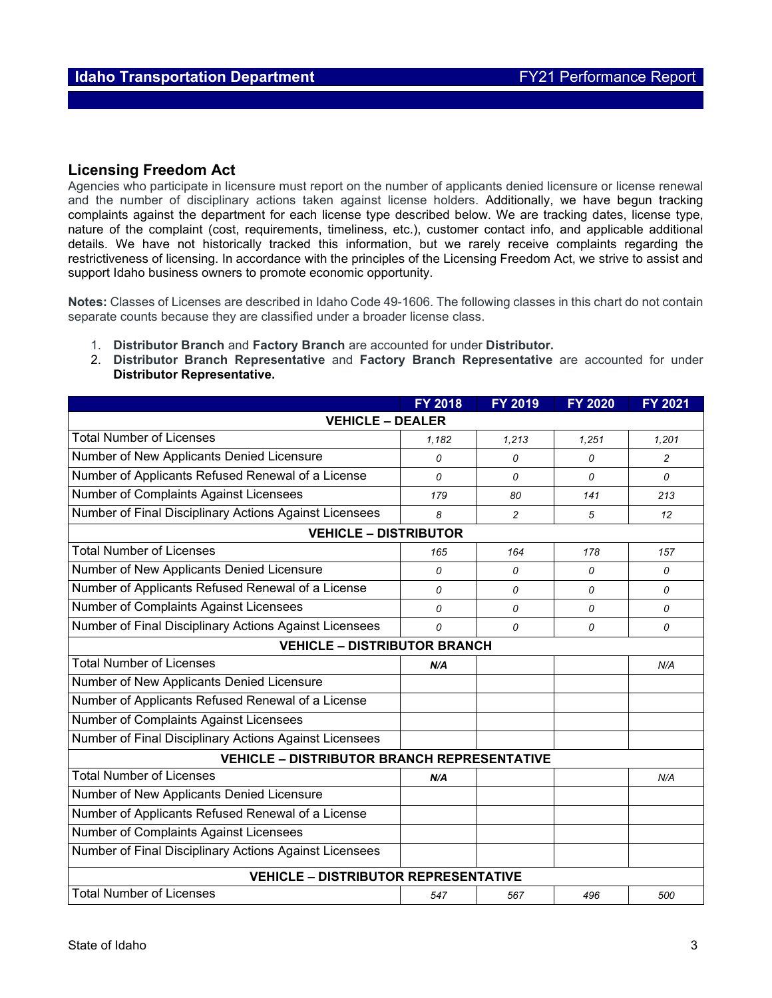#### **Licensing Freedom Act**

Agencies who participate in licensure must report on the number of applicants denied licensure or license renewal and the number of disciplinary actions taken against license holders. Additionally, we have begun tracking complaints against the department for each license type described below. We are tracking dates, license type, nature of the complaint (cost, requirements, timeliness, etc.), customer contact info, and applicable additional details. We have not historically tracked this information, but we rarely receive complaints regarding the restrictiveness of licensing. In accordance with the principles of the Licensing Freedom Act, we strive to assist and support Idaho business owners to promote economic opportunity.

**Notes:** Classes of Licenses are described in Idaho Code 49-1606. The following classes in this chart do not contain separate counts because they are classified under a broader license class.

- 1. **Distributor Branch** and **Factory Branch** are accounted for under **Distributor.**
- 2. **Distributor Branch Representative** and **Factory Branch Representative** are accounted for under **Distributor Representative.**

|                                                        | <b>FY 2018</b>                      | FY 2019  | <b>FY 2020</b> | <b>FY 2021</b> |  |  |  |
|--------------------------------------------------------|-------------------------------------|----------|----------------|----------------|--|--|--|
| <b>VEHICLE - DEALER</b>                                |                                     |          |                |                |  |  |  |
| <b>Total Number of Licenses</b>                        | 1,182                               | 1,213    | 1,251          | 1,201          |  |  |  |
| Number of New Applicants Denied Licensure              | 0                                   | 0        | 0              | 2              |  |  |  |
| Number of Applicants Refused Renewal of a License      | 0                                   | 0        | 0              | 0              |  |  |  |
| <b>Number of Complaints Against Licensees</b>          | 179                                 | 80       | 141            | 213            |  |  |  |
| Number of Final Disciplinary Actions Against Licensees | 8                                   | 2        | 5              | 12             |  |  |  |
| <b>VEHICLE - DISTRIBUTOR</b>                           |                                     |          |                |                |  |  |  |
| <b>Total Number of Licenses</b>                        | 165                                 | 164      | 178            | 157            |  |  |  |
| Number of New Applicants Denied Licensure              | 0                                   | 0        | 0              | 0              |  |  |  |
| Number of Applicants Refused Renewal of a License      | $\Omega$                            | $\Omega$ | $\Omega$       | $\Omega$       |  |  |  |
| Number of Complaints Against Licensees                 | 0                                   | 0        | 0              | 0              |  |  |  |
| Number of Final Disciplinary Actions Against Licensees | 0                                   | 0        | 0              | 0              |  |  |  |
|                                                        | <b>VEHICLE - DISTRIBUTOR BRANCH</b> |          |                |                |  |  |  |
| <b>Total Number of Licenses</b>                        | N/A                                 |          |                | N/A            |  |  |  |
| Number of New Applicants Denied Licensure              |                                     |          |                |                |  |  |  |
| Number of Applicants Refused Renewal of a License      |                                     |          |                |                |  |  |  |
| <b>Number of Complaints Against Licensees</b>          |                                     |          |                |                |  |  |  |
| Number of Final Disciplinary Actions Against Licensees |                                     |          |                |                |  |  |  |
| <b>VEHICLE - DISTRIBUTOR BRANCH REPRESENTATIVE</b>     |                                     |          |                |                |  |  |  |
| <b>Total Number of Licenses</b>                        | N/A                                 |          |                | N/A            |  |  |  |
| Number of New Applicants Denied Licensure              |                                     |          |                |                |  |  |  |
| Number of Applicants Refused Renewal of a License      |                                     |          |                |                |  |  |  |
| Number of Complaints Against Licensees                 |                                     |          |                |                |  |  |  |
| Number of Final Disciplinary Actions Against Licensees |                                     |          |                |                |  |  |  |
| <b>VEHICLE - DISTRIBUTOR REPRESENTATIVE</b>            |                                     |          |                |                |  |  |  |
| <b>Total Number of Licenses</b>                        | 547                                 | 567      | 496            | 500            |  |  |  |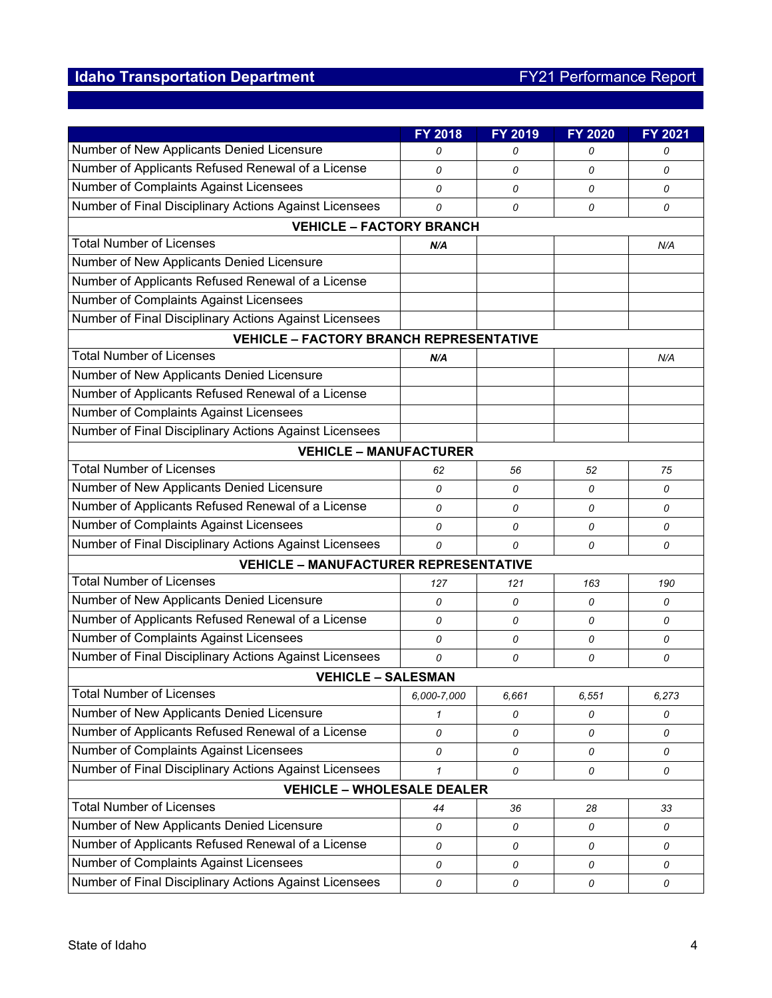## **Idaho Transportation Department FY21 Performance Report**

|                                                        | FY 2018      | FY 2019 | <b>FY 2020</b> | FY 2021 |  |  |  |
|--------------------------------------------------------|--------------|---------|----------------|---------|--|--|--|
| Number of New Applicants Denied Licensure              | 0            | 0       | 0              | 0       |  |  |  |
| Number of Applicants Refused Renewal of a License      | 0            | 0       | 0              | 0       |  |  |  |
| <b>Number of Complaints Against Licensees</b>          | 0            | 0       | $\Omega$       | 0       |  |  |  |
| Number of Final Disciplinary Actions Against Licensees | 0            | 0       | 0              | 0       |  |  |  |
| <b>VEHICLE - FACTORY BRANCH</b>                        |              |         |                |         |  |  |  |
| <b>Total Number of Licenses</b>                        | N/A          |         |                | N/A     |  |  |  |
| Number of New Applicants Denied Licensure              |              |         |                |         |  |  |  |
| Number of Applicants Refused Renewal of a License      |              |         |                |         |  |  |  |
| Number of Complaints Against Licensees                 |              |         |                |         |  |  |  |
| Number of Final Disciplinary Actions Against Licensees |              |         |                |         |  |  |  |
| <b>VEHICLE - FACTORY BRANCH REPRESENTATIVE</b>         |              |         |                |         |  |  |  |
| <b>Total Number of Licenses</b>                        | N/A          |         |                | N/A     |  |  |  |
| Number of New Applicants Denied Licensure              |              |         |                |         |  |  |  |
| Number of Applicants Refused Renewal of a License      |              |         |                |         |  |  |  |
| Number of Complaints Against Licensees                 |              |         |                |         |  |  |  |
| Number of Final Disciplinary Actions Against Licensees |              |         |                |         |  |  |  |
| <b>VEHICLE - MANUFACTURER</b>                          |              |         |                |         |  |  |  |
| <b>Total Number of Licenses</b>                        | 62           | 56      | 52             | 75      |  |  |  |
| Number of New Applicants Denied Licensure              | 0            | 0       | 0              | 0       |  |  |  |
| Number of Applicants Refused Renewal of a License      | 0            | 0       | 0              | 0       |  |  |  |
| Number of Complaints Against Licensees                 | 0            | 0       | 0              | 0       |  |  |  |
| Number of Final Disciplinary Actions Against Licensees | 0            | 0       | 0              | 0       |  |  |  |
| <b>VEHICLE - MANUFACTURER REPRESENTATIVE</b>           |              |         |                |         |  |  |  |
| <b>Total Number of Licenses</b>                        | 127          | 121     | 163            | 190     |  |  |  |
| Number of New Applicants Denied Licensure              | 0            | 0       | 0              | 0       |  |  |  |
| Number of Applicants Refused Renewal of a License      | 0            | 0       | 0              | 0       |  |  |  |
| Number of Complaints Against Licensees                 | 0            | 0       | 0              | 0       |  |  |  |
| Number of Final Disciplinary Actions Against Licensees | $\Omega$     | 0       | 0              | 0       |  |  |  |
| <b>VEHICLE - SALESMAN</b>                              |              |         |                |         |  |  |  |
| <b>Total Number of Licenses</b>                        | 6,000-7,000  | 6,661   | 6,551          | 6,273   |  |  |  |
| Number of New Applicants Denied Licensure              | 1            | 0       | 0              | 0       |  |  |  |
| Number of Applicants Refused Renewal of a License      | 0            | 0       | 0              | 0       |  |  |  |
| Number of Complaints Against Licensees                 | 0            | 0       | 0              | 0       |  |  |  |
| Number of Final Disciplinary Actions Against Licensees | $\mathbf{1}$ | 0       | 0              | 0       |  |  |  |
| <b>VEHICLE - WHOLESALE DEALER</b>                      |              |         |                |         |  |  |  |
| <b>Total Number of Licenses</b>                        | 44           | 36      | 28             | 33      |  |  |  |
| Number of New Applicants Denied Licensure              | 0            | 0       | 0              | 0       |  |  |  |
| Number of Applicants Refused Renewal of a License      | 0            | 0       | 0              | 0       |  |  |  |
| Number of Complaints Against Licensees                 | 0            | 0       | 0              | 0       |  |  |  |
| Number of Final Disciplinary Actions Against Licensees | 0            | 0       | 0              | 0       |  |  |  |